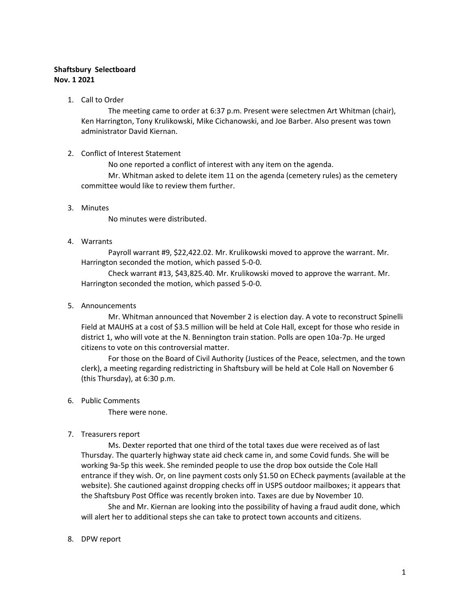# **Shaftsbury Selectboard Nov. 1 2021**

1. Call to Order

The meeting came to order at 6:37 p.m. Present were selectmen Art Whitman (chair), Ken Harrington, Tony Krulikowski, Mike Cichanowski, and Joe Barber. Also present was town administrator David Kiernan.

#### 2. Conflict of Interest Statement

No one reported a conflict of interest with any item on the agenda.

Mr. Whitman asked to delete item 11 on the agenda (cemetery rules) as the cemetery committee would like to review them further.

## 3. Minutes

No minutes were distributed.

## 4. Warrants

Payroll warrant #9, \$22,422.02. Mr. Krulikowski moved to approve the warrant. Mr. Harrington seconded the motion, which passed 5-0-0.

Check warrant #13, \$43,825.40. Mr. Krulikowski moved to approve the warrant. Mr. Harrington seconded the motion, which passed 5-0-0.

5. Announcements

Mr. Whitman announced that November 2 is election day. A vote to reconstruct Spinelli Field at MAUHS at a cost of \$3.5 million will be held at Cole Hall, except for those who reside in district 1, who will vote at the N. Bennington train station. Polls are open 10a-7p. He urged citizens to vote on this controversial matter.

For those on the Board of Civil Authority (Justices of the Peace, selectmen, and the town clerk), a meeting regarding redistricting in Shaftsbury will be held at Cole Hall on November 6 (this Thursday), at 6:30 p.m.

#### 6. Public Comments

There were none.

## 7. Treasurers report

Ms. Dexter reported that one third of the total taxes due were received as of last Thursday. The quarterly highway state aid check came in, and some Covid funds. She will be working 9a-5p this week. She reminded people to use the drop box outside the Cole Hall entrance if they wish. Or, on line payment costs only \$1.50 on ECheck payments (available at the website). She cautioned against dropping checks off in USPS outdoor mailboxes; it appears that the Shaftsbury Post Office was recently broken into. Taxes are due by November 10.

She and Mr. Kiernan are looking into the possibility of having a fraud audit done, which will alert her to additional steps she can take to protect town accounts and citizens.

8. DPW report